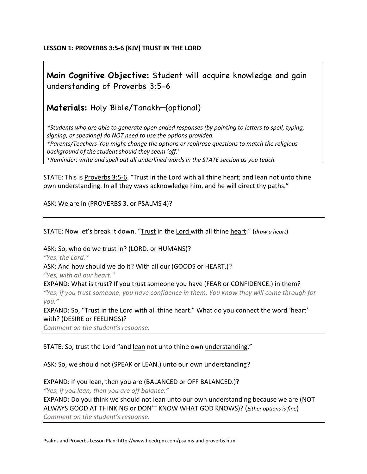## **LESSON 1: PROVERBS 3:5-6 (KJV) TRUST IN THE LORD**

## **Main Cognitive Objective:** Student will acquire knowledge and gain understanding of Proverbs 3:5-6

**Materials:** Holy Bible/Tanakh—(optional)

*\*Students who are able to generate open ended responses (by pointing to letters to spell, typing, signing, or speaking) do NOT need to use the options provided. \*Parents/Teachers-You might change the options or rephrase questions to match the religious background of the student should they seem 'off.' \*Reminder: write and spell out all underlined words in the STATE section as you teach.*

STATE: This is Proverbs 3:5-6. "Trust in the Lord with all thine heart; and lean not unto thine own understanding. In all they ways acknowledge him, and he will direct thy paths."

ASK: We are in (PROVERBS 3. or PSALMS 4)?

STATE: Now let's break it down. "Trust in the Lord with all thine heart." (*draw a heart*)

ASK: So, who do we trust in? (LORD. or HUMANS)? *"Yes, the Lord."* ASK: And how should we do it? With all our (GOODS or HEART.)? *"Yes, with all our heart."* EXPAND: What is trust? If you trust someone you have (FEAR or CONFIDENCE.) in them? *"Yes, if you trust someone, you have confidence in them. You know they will come through for you."*

EXPAND: So, "Trust in the Lord with all thine heart." What do you connect the word 'heart' with? (DESIRE or FEELINGS)?

*Comment on the student's response.*

STATE: So, trust the Lord "and lean not unto thine own understanding."

ASK: So, we should not (SPEAK or LEAN.) unto our own understanding?

EXPAND: If you lean, then you are (BALANCED or OFF BALANCED.)? *"Yes, if you lean, then you are off balance."* EXPAND: Do you think we should not lean unto our own understanding because we are (NOT ALWAYS GOOD AT THINKING or DON'T KNOW WHAT GOD KNOWS)? (*Either options is fine*) *Comment on the student's response.*